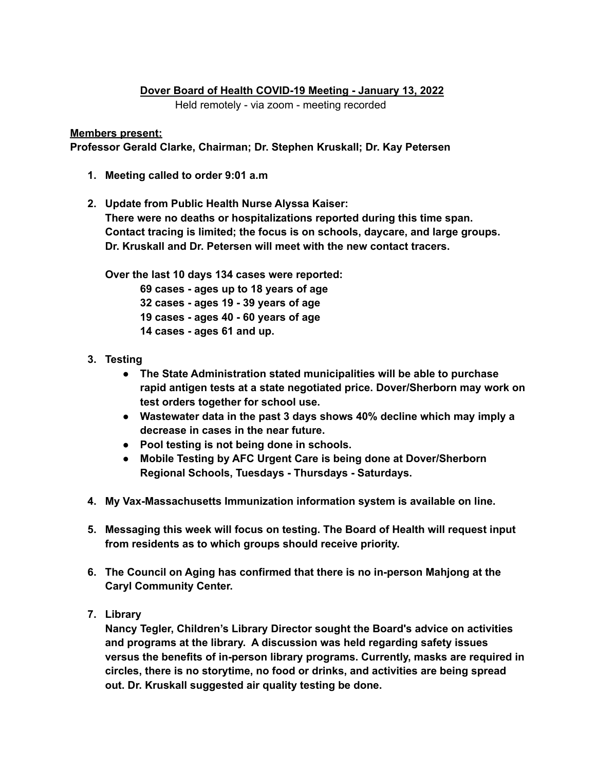## **Dover Board of Health COVID-19 Meeting - January 13, 2022**

Held remotely - via zoom - meeting recorded

## **Members present:**

**Professor Gerald Clarke, Chairman; Dr. Stephen Kruskall; Dr. Kay Petersen**

- **1. Meeting called to order 9:01 a.m**
- **2. Update from Public Health Nurse Alyssa Kaiser: There were no deaths or hospitalizations reported during this time span. Contact tracing is limited; the focus is on schools, daycare, and large groups. Dr. Kruskall and Dr. Petersen will meet with the new contact tracers.**

**Over the last 10 days 134 cases were reported:**

 **cases - ages up to 18 years of age cases - ages 19 - 39 years of age cases - ages 40 - 60 years of age cases - ages 61 and up.**

- **3. Testing**
	- **● The State Administration stated municipalities will be able to purchase rapid antigen tests at a state negotiated price. Dover/Sherborn may work on test orders together for school use.**
	- **● Wastewater data in the past 3 days shows 40% decline which may imply a decrease in cases in the near future.**
	- **● Pool testing is not being done in schools.**
	- **● Mobile Testing by AFC Urgent Care is being done at Dover/Sherborn Regional Schools, Tuesdays - Thursdays - Saturdays.**
- **4. My Vax-Massachusetts Immunization information system is available on line.**
- **5. Messaging this week will focus on testing. The Board of Health will request input from residents as to which groups should receive priority.**
- **6. The Council on Aging has confirmed that there is no in-person Mahjong at the Caryl Community Center.**
- **7. Library**

**Nancy Tegler, Children's Library Director sought the Board's advice on activities and programs at the library. A discussion was held regarding safety issues versus the benefits of in-person library programs. Currently, masks are required in circles, there is no storytime, no food or drinks, and activities are being spread out. Dr. Kruskall suggested air quality testing be done.**